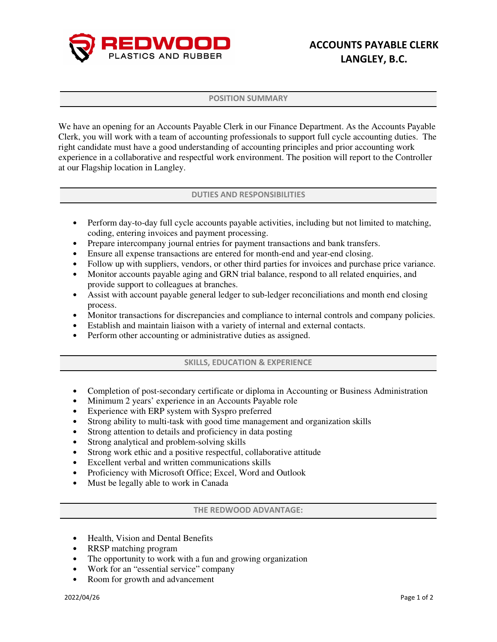

## POSITION SUMMARY

We have an opening for an Accounts Payable Clerk in our Finance Department. As the Accounts Payable Clerk, you will work with a team of accounting professionals to support full cycle accounting duties. The right candidate must have a good understanding of accounting principles and prior accounting work experience in a collaborative and respectful work environment. The position will report to the Controller at our Flagship location in Langley.

## DUTIES AND RESPONSIBILITIES

- Perform day-to-day full cycle accounts payable activities, including but not limited to matching, coding, entering invoices and payment processing.
- Prepare intercompany journal entries for payment transactions and bank transfers.
- Ensure all expense transactions are entered for month-end and year-end closing.
- Follow up with suppliers, vendors, or other third parties for invoices and purchase price variance.
- Monitor accounts payable aging and GRN trial balance, respond to all related enquiries, and provide support to colleagues at branches.
- Assist with account payable general ledger to sub-ledger reconciliations and month end closing process.
- Monitor transactions for discrepancies and compliance to internal controls and company policies.
- Establish and maintain liaison with a variety of internal and external contacts.
- Perform other accounting or administrative duties as assigned.

## SKILLS, EDUCATION & EXPERIENCE

- Completion of post-secondary certificate or diploma in Accounting or Business Administration
- Minimum 2 years' experience in an Accounts Payable role
- Experience with ERP system with Syspro preferred
- Strong ability to multi-task with good time management and organization skills
- Strong attention to details and proficiency in data posting
- Strong analytical and problem-solving skills
- Strong work ethic and a positive respectful, collaborative attitude
- Excellent verbal and written communications skills
- Proficiency with Microsoft Office; Excel, Word and Outlook
- Must be legally able to work in Canada

## THE REDWOOD ADVANTAGE:

- Health, Vision and Dental Benefits
- RRSP matching program
- The opportunity to work with a fun and growing organization
- Work for an "essential service" company
- Room for growth and advancement